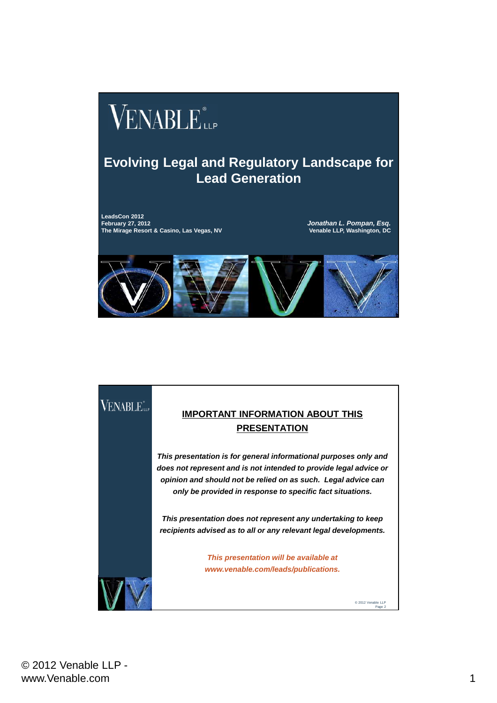## VENABLE<sup>®</sup>

## **Evolving Legal and Regulatory Landscape for Lead Generation**

**LeadsCon 2012 February 27, 2012 The Mirage Resort & Casino, Las Vegas, NV**

*Jonathan L. Pompan, Esq.* Venable LLP, Washington, DC



## **VENABLE IMPORTANT INFORMATION ABOUT THIS PRESENTATION** *This presentation is for general informational purposes only and does not represent and is not intended to provide legal advice or opinion and should not be relied on as such. Legal advice can only be provided in response to specific fact situations. This presentation does not represent any undertaking to keep recipients advised as to all or any relevant legal developments. This presentation will be available at www.venable.com/leads/publications.*© 2012 Venable LLP Page 2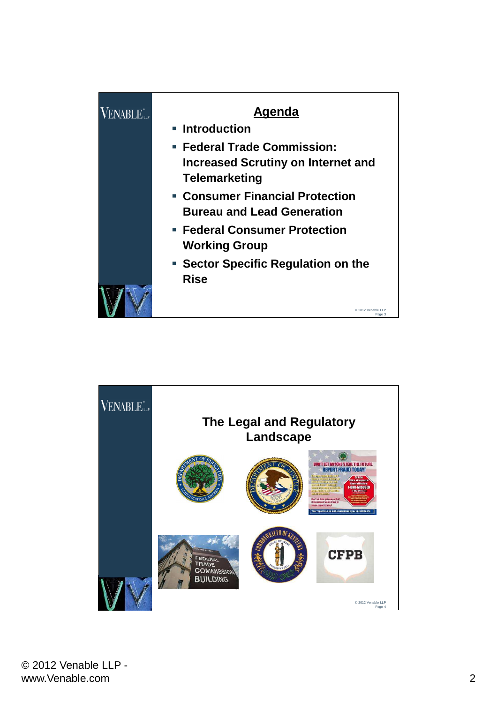| $N_{\rm {ENABI}}$ $\rm {E^{''}_{\mu\nu}}$ | Agenda<br>■ Introduction                                                                  |
|-------------------------------------------|-------------------------------------------------------------------------------------------|
|                                           | ■ Federal Trade Commission:<br>Increased Scrutiny on Internet and<br><b>Telemarketing</b> |
|                                           | ■ Consumer Financial Protection<br><b>Bureau and Lead Generation</b>                      |
|                                           | ■ Federal Consumer Protection<br><b>Working Group</b>                                     |
|                                           | • Sector Specific Regulation on the<br><b>Rise</b>                                        |
|                                           | C 2012 Venable II P<br>Page 3                                                             |

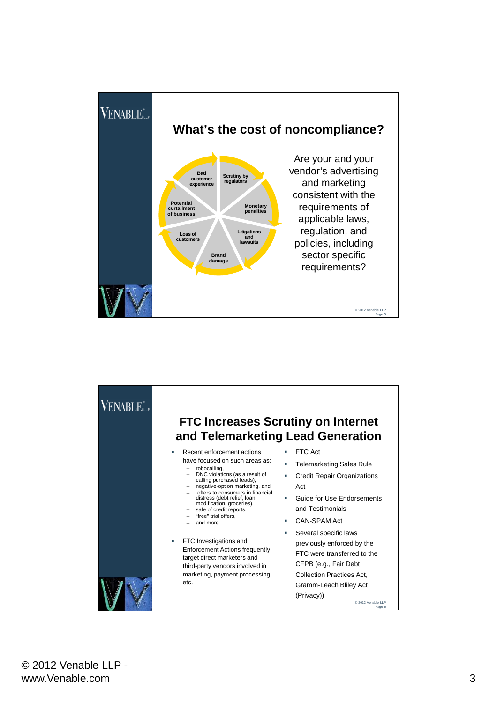

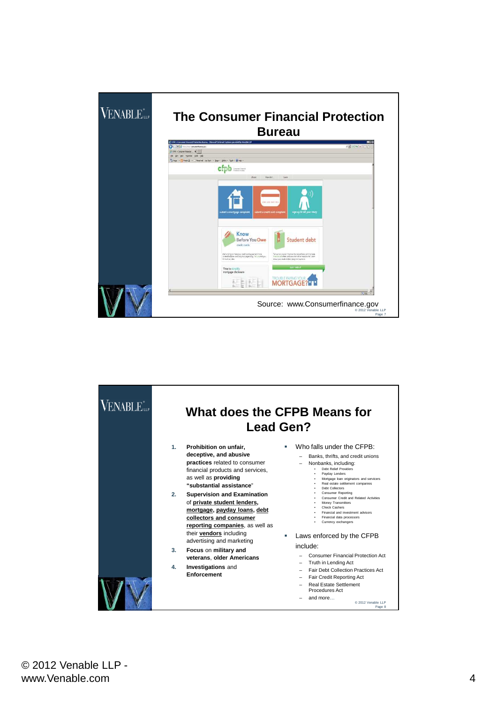

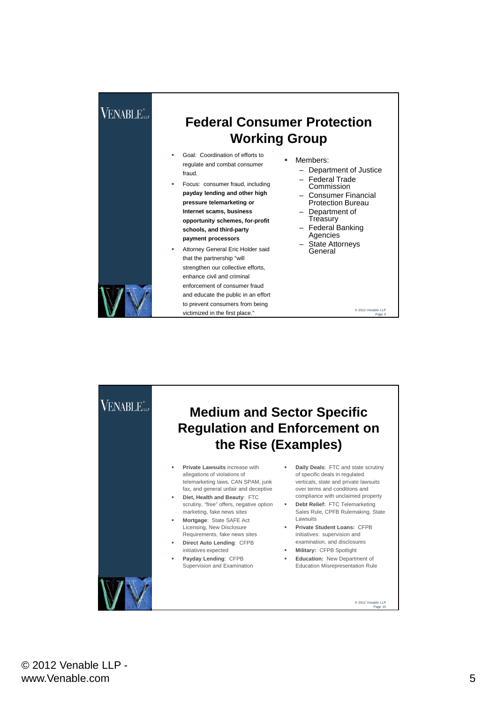## **VENABLE Federal Consumer Protection Working Group** Goal: Coordination of efforts to Members: regulate and combat consumer – Department of Justice fraud. – Federal Trade Focus: consumer fraud, including Commission **payday lending and other high** – Consumer Financial **pressure telemarketing or** Protection Bureau **Internet scams, business** – Department of **Treasury opportunity schemes, for-profit** – Federal Banking **schools, and third-party** Agencies **payment processors** State Attorneys Attorney General Eric Holder said **General** that the partnership "will strengthen our collective efforts, enhance civil and criminal enforcement of consumer fraud and educate the public in an effort to prevent consumers from being © 2012 Venable LLP victimized in the first place." Page 9